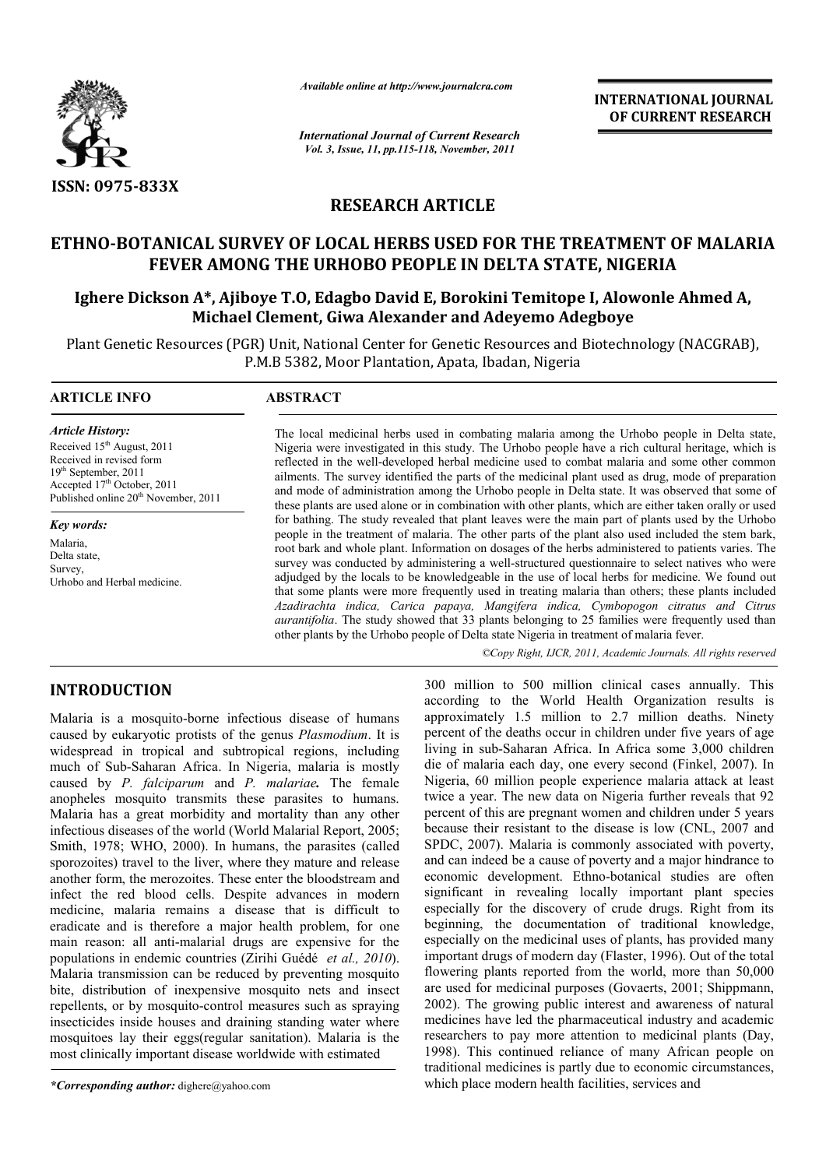

*Available online at http://www.journalcra.com*

*International Journal of Current Research Vol. 3, Issue, 11, pp.115-118, November, 2011*

**INTERNATIONAL JOURNAL OF CURRENT RESEARCH** 

# **RESEARCH ARTICLE**

# **ETHNO-BOTANICAL SURVEY OF LOCAL HERBS USED FOR THE TREATMENT OF MALARIA FEVER AMONG THE URHOBO PEOPLE IN DELTA STATE, NIGERIA**

# **Ighere Dickson A\*, Ajiboye T.O, Edagbo David E, Borokini Temitope I, Alowonle Ahmed A, Michael Clement, Giwa Alexander and Adeyemo Adegboye**

Plant Genetic Resources (PGR) Unit, National Center for Genetic Resources and Biotechnology (NACGRAB), P.M.B 5382, Moor Plantation, Apata, Ibadan, Nigeria

#### **ARTICLE INFO ABSTRACT**

*Article History:* Received 15<sup>th</sup> August, 2011 Received in revised form 19th September, 2011 Accepted 17<sup>th</sup> October, 2011 Published online 20<sup>th</sup> November, 2011

*Key words:* Malaria, Delta state, Survey, Urhobo and Herbal medicine.

The local medicinal herbs used in combating malaria among the Urhobo people in Delta state, Nigeria were investigated in this study. The Urhobo people have a rich cultural heritage, which is reflected in the well-developed herbal medicine used to combat malaria and some other common ailments. The survey identified the parts of the medicinal plant used as drug, mode of preparation and mode of administration among the Urhobo people in Delta state. It was observed that some of these plants are used alone or in combination with other plants, which are either taken orally or used for bathing. The study revealed that plant leaves were the main part of plants used by the Urhobo people in the treatment of malaria. The other parts of the plant also used included the stem bark, root bark and whole plant. Information on dosages of the herbs administered to patients varies. The survey was conducted by administering a well-structured questionnaire to select natives who were adjudged by the locals to be knowledgeable in the use of local herbs for medicine. We found out that some plants were more frequently used in treating malaria than others; these plants included *Azadirachta indica, Carica papaya, Mangifera indica, Cymbopogon citratus and Citrus aurantifolia*. The study showed that 33 plants belonging to 25 families were frequently used than other plants by the Urhobo people of Delta state Nigeria in treatment of malaria fever.

*©Copy Right, IJCR, 2011, Academic Journals. All rights reserved*

## **INTRODUCTION**

Malaria is a mosquito-borne infectious disease of humans caused by eukaryotic protists of the genus *Plasmodium*. It is widespread in tropical and subtropical regions, including much of Sub-Saharan Africa. In Nigeria, malaria is mostly caused by *P. falciparum* and *P. malariae.* The female anopheles mosquito transmits these parasites to humans. Malaria has a great morbidity and mortality than any other infectious diseases of the world (World Malarial Report, 2005; Smith, 1978; WHO, 2000). In humans, the parasites (called sporozoites) travel to the liver, where they mature and release another form, the merozoites. These enter the bloodstream and infect the red blood cells. Despite advances in modern medicine, malaria remains a disease that is difficult to eradicate and is therefore a major health problem, for one main reason: all anti-malarial drugs are expensive for the populations in endemic countries (Zirihi Guédé *et al., 2010*). Malaria transmission can be reduced by preventing mosquito bite, distribution of inexpensive mosquito nets and insect repellents, or by mosquito-control measures such as spraying insecticides inside houses and draining standing water where mosquitoes lay their eggs(regular sanitation). Malaria is the most clinically important disease worldwide with estimated

*\*Corresponding author:* dighere@yahoo.com

300 million to 500 million clinical cases annually. This according to the World Health Organization results is approximately 1.5 million to 2.7 million deaths. Ninety percent of the deaths occur in children under five years of age living in sub-Saharan Africa. In Africa some 3,000 children die of malaria each day, one every second (Finkel, 2007). In Nigeria, 60 million people experience malaria attack at least twice a year. The new data on Nigeria further reveals that 92 percent of this are pregnant women and children under 5 years because their resistant to the disease is low (CNL, 2007 and SPDC, 2007). Malaria is commonly associated with poverty, and can indeed be a cause of poverty and a major hindrance to economic development. Ethno-botanical studies are often significant in revealing locally important plant species especially for the discovery of crude drugs. Right from its beginning, the documentation of traditional knowledge, especially on the medicinal uses of plants, has provided many important drugs of modern day (Flaster, 1996). Out of the total flowering plants reported from the world, more than 50,000 are used for medicinal purposes (Govaerts, 2001; Shippmann, 2002). The growing public interest and awareness of natural medicines have led the pharmaceutical industry and academic researchers to pay more attention to medicinal plants (Day, 1998). This continued reliance of many African people on traditional medicines is partly due to economic circumstances, which place modern health facilities, services and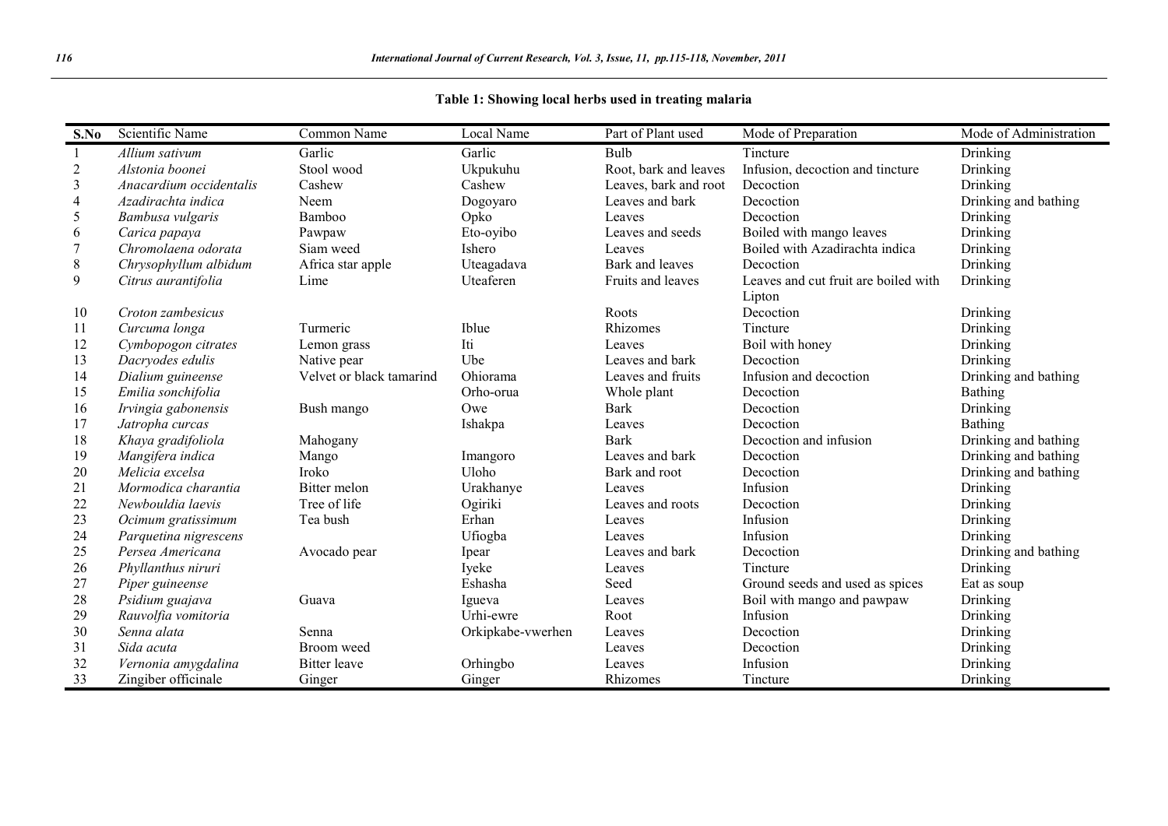## **Table 1: Showing local herbs used in treating malaria**

| S.No           | Scientific Name         | Common Name              | Local Name        | Part of Plant used    | Mode of Preparation                  | Mode of Administration |
|----------------|-------------------------|--------------------------|-------------------|-----------------------|--------------------------------------|------------------------|
| -1             | Allium sativum          | Garlic                   | Garlic            | Bulb                  | Tincture                             | Drinking               |
| $\sqrt{2}$     | Alstonia boonei         | Stool wood               | Ukpukuhu          | Root, bark and leaves | Infusion, decoction and tincture     | Drinking               |
| $\overline{3}$ | Anacardium occidentalis | Cashew                   | Cashew            | Leaves, bark and root | Decoction                            | Drinking               |
| $\overline{4}$ | Azadirachta indica      | Neem                     | Dogoyaro          | Leaves and bark       | Decoction                            | Drinking and bathing   |
| 5              | Bambusa vulgaris        | Bamboo                   | Opko              | Leaves                | Decoction                            | Drinking               |
| 6              | Carica papaya           | Pawpaw                   | Eto-oyibo         | Leaves and seeds      | Boiled with mango leaves             | Drinking               |
| 7              | Chromolaena odorata     | Siam weed                | Ishero            | Leaves                | Boiled with Azadirachta indica       | Drinking               |
| $\,8\,$        | Chrysophyllum albidum   | Africa star apple        | Uteagadava        | Bark and leaves       | Decoction                            | Drinking               |
| 9              | Citrus aurantifolia     | Lime                     | Uteaferen         | Fruits and leaves     | Leaves and cut fruit are boiled with | Drinking               |
|                |                         |                          |                   |                       | Lipton                               |                        |
| 10             | Croton zambesicus       |                          |                   | Roots                 | Decoction                            | Drinking               |
| 11             | Curcuma longa           | Turmeric                 | Iblue             | Rhizomes              | Tincture                             | Drinking               |
| 12             | Cymbopogon citrates     | Lemon grass              | Iti               | Leaves                | Boil with honey                      | Drinking               |
| 13             | Dacryodes edulis        | Native pear              | Ube               | Leaves and bark       | Decoction                            | Drinking               |
| 14             | Dialium guineense       | Velvet or black tamarind | Ohiorama          | Leaves and fruits     | Infusion and decoction               | Drinking and bathing   |
| 15             | Emilia sonchifolia      |                          | Orho-orua         | Whole plant           | Decoction                            | Bathing                |
| 16             | Irvingia gabonensis     | Bush mango               | Owe               | <b>Bark</b>           | Decoction                            | Drinking               |
| 17             | Jatropha curcas         |                          | Ishakpa           | Leaves                | Decoction                            | Bathing                |
| 18             | Khaya gradifoliola      | Mahogany                 |                   | <b>Bark</b>           | Decoction and infusion               | Drinking and bathing   |
| 19             | Mangifera indica        | Mango                    | Imangoro          | Leaves and bark       | Decoction                            | Drinking and bathing   |
| 20             | Melicia excelsa         | <b>Iroko</b>             | Uloho             | Bark and root         | Decoction                            | Drinking and bathing   |
| 21             | Mormodica charantia     | Bitter melon             | Urakhanye         | Leaves                | Infusion                             | Drinking               |
| 22             | Newbouldia laevis       | Tree of life             | Ogiriki           | Leaves and roots      | Decoction                            | Drinking               |
| 23             | Ocimum gratissimum      | Tea bush                 | Erhan             | Leaves                | Infusion                             | Drinking               |
| 24             | Parquetina nigrescens   |                          | Ufiogba           | Leaves                | Infusion                             | Drinking               |
| 25             | Persea Americana        | Avocado pear             | Ipear             | Leaves and bark       | Decoction                            | Drinking and bathing   |
| 26             | Phyllanthus niruri      |                          | Iyeke             | Leaves                | Tincture                             | Drinking               |
| 27             | Piper guineense         |                          | Eshasha           | Seed                  | Ground seeds and used as spices      | Eat as soup            |
| 28             | Psidium guajava         | Guava                    | Igueva            | Leaves                | Boil with mango and pawpaw           | Drinking               |
| 29             | Rauvolfia vomitoria     |                          | Urhi-ewre         | Root                  | Infusion                             | Drinking               |
| 30             | Senna alata             | Senna                    | Orkipkabe-vwerhen | Leaves                | Decoction                            | Drinking               |
| 31             | Sida acuta              | Broom weed               |                   | Leaves                | Decoction                            | Drinking               |
| 32             | Vernonia amygdalina     | <b>Bitter</b> leave      | Orhingbo          | Leaves                | Infusion                             | Drinking               |
| 33             | Zingiber officinale     | Ginger                   | Ginger            | Rhizomes              | Tincture                             | Drinking               |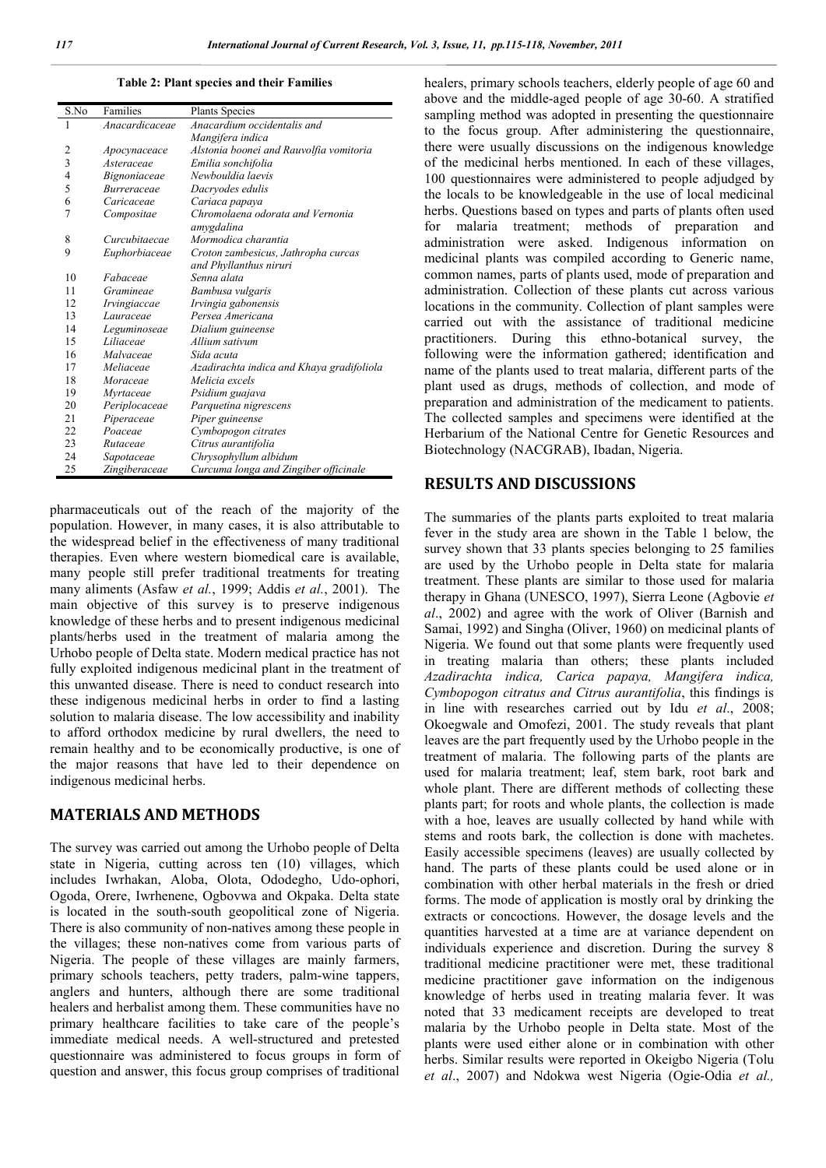**Table 2: Plant species and their Families**

| S.No           | Families            | <b>Plants Species</b>                     |
|----------------|---------------------|-------------------------------------------|
| 1              | Anacardicaceae      | Anacardium occidentalis and               |
|                |                     | Mangifera indica                          |
| $\overline{c}$ | Apocynaceace        | Alstonia boonei and Rauvolfia vomitoria   |
| $\overline{3}$ | Asteraceae          | Emilia sonchifolia                        |
| $\overline{4}$ | <i>Bignoniaceae</i> | Newhouldia laevis                         |
| 5              | Burreraceae         | Dacryodes edulis                          |
| 6              | Caricaceae          | Cariaca papaya                            |
| $\overline{7}$ | Compositae          | Chromolaena odorata and Vernonia          |
|                |                     | amvgdalina                                |
| 8              | Curcubitaecae       | Mormodica charantia                       |
| 9              | Euphorbiaceae       | Croton zambesicus, Jathropha curcas       |
|                |                     | and Phyllanthus niruri                    |
| 10             | Fabaceae            | Senna alata                               |
| 11             | Gramineae           | Bambusa vulgaris                          |
| 12             | Irvingiaccae        | Irvingia gabonensis                       |
| 13             | Lauraceae           | Persea Americana                          |
| 14             | Leguminoseae        | Dialium guineense                         |
| 15             | Liliaceae           | Allium sativum                            |
| 16             | Malvaceae           | Sida acuta                                |
| 17             | Meliaceae           | Azadirachta indica and Khaya gradifoliola |
| 18             | Moraceae            | Melicia excels                            |
| 19             | Myrtaceae           | Psidium guajava                           |
| 20             | Periplocaceae       | Parquetina nigrescens                     |
| 21             | Piperaceae          | Piper guineense                           |
| 22             | Poaceae             | Cymbopogon citrates                       |
| 23             | Rutaceae            | Citrus aurantifolia                       |
| 24             | Sapotaceae          | Chrysophyllum albidum                     |
| 25             | Zingiberaceae       | Curcuma longa and Zingiber officinale     |

pharmaceuticals out of the reach of the majority of the population. However, in many cases, it is also attributable to the widespread belief in the effectiveness of many traditional therapies. Even where western biomedical care is available, many people still prefer traditional treatments for treating many aliments (Asfaw *et al.*, 1999; Addis *et al.*, 2001). The main objective of this survey is to preserve indigenous knowledge of these herbs and to present indigenous medicinal plants/herbs used in the treatment of malaria among the Urhobo people of Delta state. Modern medical practice has not fully exploited indigenous medicinal plant in the treatment of this unwanted disease. There is need to conduct research into these indigenous medicinal herbs in order to find a lasting solution to malaria disease. The low accessibility and inability to afford orthodox medicine by rural dwellers, the need to remain healthy and to be economically productive, is one of the major reasons that have led to their dependence on indigenous medicinal herbs.

## **MATERIALS AND METHODS**

The survey was carried out among the Urhobo people of Delta state in Nigeria, cutting across ten (10) villages, which includes Iwrhakan, Aloba, Olota, Ododegho, Udo-ophori, Ogoda, Orere, Iwrhenene, Ogbovwa and Okpaka. Delta state is located in the south-south geopolitical zone of Nigeria. There is also community of non-natives among these people in the villages; these non-natives come from various parts of Nigeria. The people of these villages are mainly farmers, primary schools teachers, petty traders, palm-wine tappers, anglers and hunters, although there are some traditional healers and herbalist among them. These communities have no primary healthcare facilities to take care of the people's immediate medical needs. A well-structured and pretested questionnaire was administered to focus groups in form of question and answer, this focus group comprises of traditional

healers, primary schools teachers, elderly people of age 60 and above and the middle-aged people of age 30-60. A stratified sampling method was adopted in presenting the questionnaire to the focus group. After administering the questionnaire, there were usually discussions on the indigenous knowledge of the medicinal herbs mentioned. In each of these villages, 100 questionnaires were administered to people adjudged by the locals to be knowledgeable in the use of local medicinal herbs. Questions based on types and parts of plants often used for malaria treatment; methods of preparation and administration were asked. Indigenous information on medicinal plants was compiled according to Generic name, common names, parts of plants used, mode of preparation and administration. Collection of these plants cut across various locations in the community. Collection of plant samples were carried out with the assistance of traditional medicine practitioners. During this ethno-botanical survey, the following were the information gathered; identification and name of the plants used to treat malaria, different parts of the plant used as drugs, methods of collection, and mode of preparation and administration of the medicament to patients. The collected samples and specimens were identified at the Herbarium of the National Centre for Genetic Resources and Biotechnology (NACGRAB), Ibadan, Nigeria.

### **RESULTS AND DISCUSSIONS**

The summaries of the plants parts exploited to treat malaria fever in the study area are shown in the Table 1 below, the survey shown that 33 plants species belonging to 25 families are used by the Urhobo people in Delta state for malaria treatment. These plants are similar to those used for malaria therapy in Ghana (UNESCO, 1997), Sierra Leone (Agbovie *et al*., 2002) and agree with the work of Oliver (Barnish and Samai, 1992) and Singha (Oliver, 1960) on medicinal plants of Nigeria. We found out that some plants were frequently used in treating malaria than others; these plants included *Azadirachta indica, Carica papaya, Mangifera indica, Cymbopogon citratus and Citrus aurantifolia*, this findings is in line with researches carried out by Idu *et al*., 2008; Okoegwale and Omofezi, 2001. The study reveals that plant leaves are the part frequently used by the Urhobo people in the treatment of malaria. The following parts of the plants are used for malaria treatment; leaf, stem bark, root bark and whole plant. There are different methods of collecting these plants part; for roots and whole plants, the collection is made with a hoe, leaves are usually collected by hand while with stems and roots bark, the collection is done with machetes. Easily accessible specimens (leaves) are usually collected by hand. The parts of these plants could be used alone or in combination with other herbal materials in the fresh or dried forms. The mode of application is mostly oral by drinking the extracts or concoctions. However, the dosage levels and the quantities harvested at a time are at variance dependent on individuals experience and discretion. During the survey 8 traditional medicine practitioner were met, these traditional medicine practitioner gave information on the indigenous knowledge of herbs used in treating malaria fever. It was noted that 33 medicament receipts are developed to treat malaria by the Urhobo people in Delta state. Most of the plants were used either alone or in combination with other herbs. Similar results were reported in Okeigbo Nigeria (Tolu *et al*., 2007) and Ndokwa west Nigeria (Ogie-Odia *et al.,*